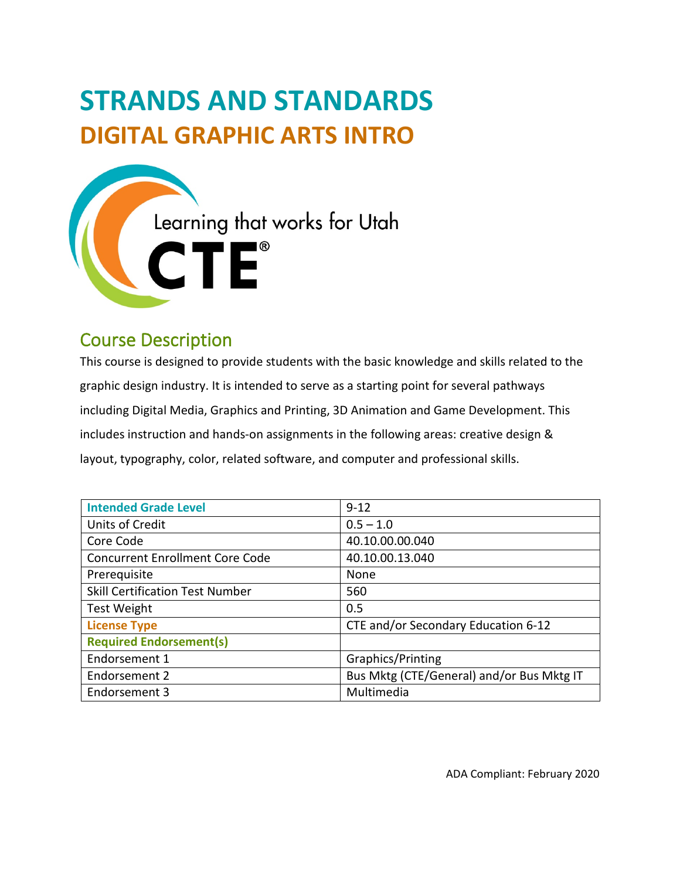# **STRANDS AND STANDARDS DIGITAL GRAPHIC ARTS INTRO**



# Course Description

This course is designed to provide students with the basic knowledge and skills related to the graphic design industry. It is intended to serve as a starting point for several pathways including Digital Media, Graphics and Printing, 3D Animation and Game Development. This includes instruction and hands-on assignments in the following areas: creative design & layout, typography, color, related software, and computer and professional skills.

| <b>Intended Grade Level</b>            | $9 - 12$                                  |  |  |  |  |
|----------------------------------------|-------------------------------------------|--|--|--|--|
| Units of Credit                        | $0.5 - 1.0$                               |  |  |  |  |
| Core Code                              | 40.10.00.00.040                           |  |  |  |  |
| <b>Concurrent Enrollment Core Code</b> | 40.10.00.13.040                           |  |  |  |  |
| Prerequisite                           | None                                      |  |  |  |  |
| <b>Skill Certification Test Number</b> | 560                                       |  |  |  |  |
| <b>Test Weight</b>                     | 0.5                                       |  |  |  |  |
| <b>License Type</b>                    | CTE and/or Secondary Education 6-12       |  |  |  |  |
| <b>Required Endorsement(s)</b>         |                                           |  |  |  |  |
| Endorsement 1                          | Graphics/Printing                         |  |  |  |  |
| Endorsement 2                          | Bus Mktg (CTE/General) and/or Bus Mktg IT |  |  |  |  |
| Endorsement 3                          | Multimedia                                |  |  |  |  |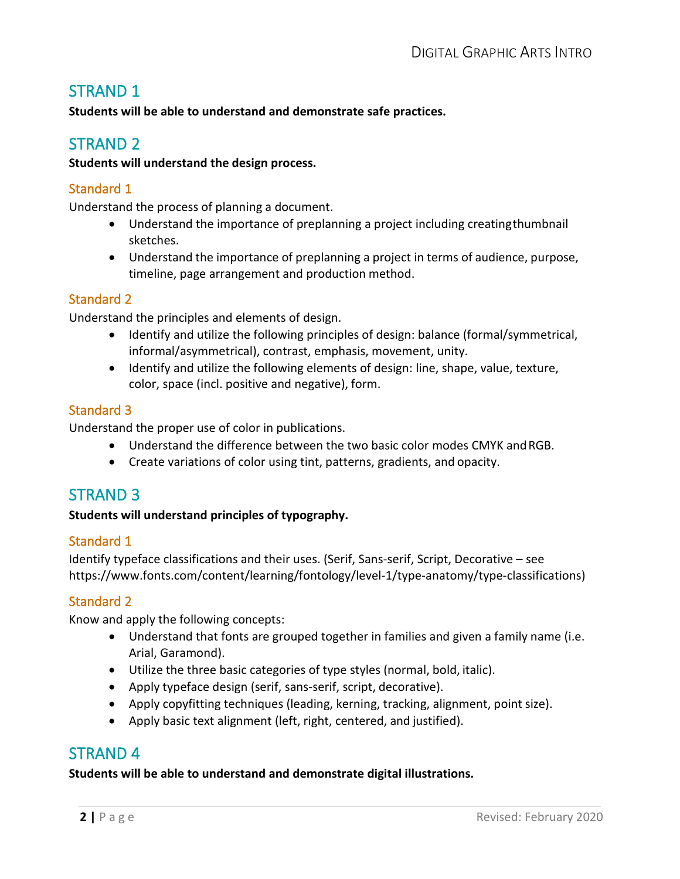# STRAND 1

**Students will be able to understand and demonstrate safe practices.**

## STRAND 2

#### **Students will understand the design process.**

#### Standard 1

Understand the process of planning a document.

- Understand the importance of preplanning a project including creatingthumbnail sketches.
- Understand the importance of preplanning a project in terms of audience, purpose, timeline, page arrangement and production method.

#### Standard 2

Understand the principles and elements of design.

- Identify and utilize the following principles of design: balance (formal/symmetrical, informal/asymmetrical), contrast, emphasis, movement, unity.
- Identify and utilize the following elements of design: line, shape, value, texture, color, space (incl. positive and negative), form.

#### Standard 3

Understand the proper use of color in publications.

- Understand the difference between the two basic color modes CMYK andRGB.
- Create variations of color using tint, patterns, gradients, and opacity.

## STRAND 3

#### **Students will understand principles of typography.**

#### Standard 1

Identify typeface classifications and their uses. (Serif, Sans-serif, Script, Decorative – see https:/[/www.fonts.com/content/learning/fontology/level-1/type-anatomy/type-classifications\)](http://www.fonts.com/content/learning/fontology/level-1/type-anatomy/type-classifications))

#### Standard 2

Know and apply the following concepts:

- Understand that fonts are grouped together in families and given a family name (i.e. Arial, Garamond).
- Utilize the three basic categories of type styles (normal, bold, italic).
- Apply typeface design (serif, sans-serif, script, decorative).
- Apply copyfitting techniques (leading, kerning, tracking, alignment, point size).
- Apply basic text alignment (left, right, centered, and justified).

## STRAND 4

#### **Students will be able to understand and demonstrate digital illustrations.**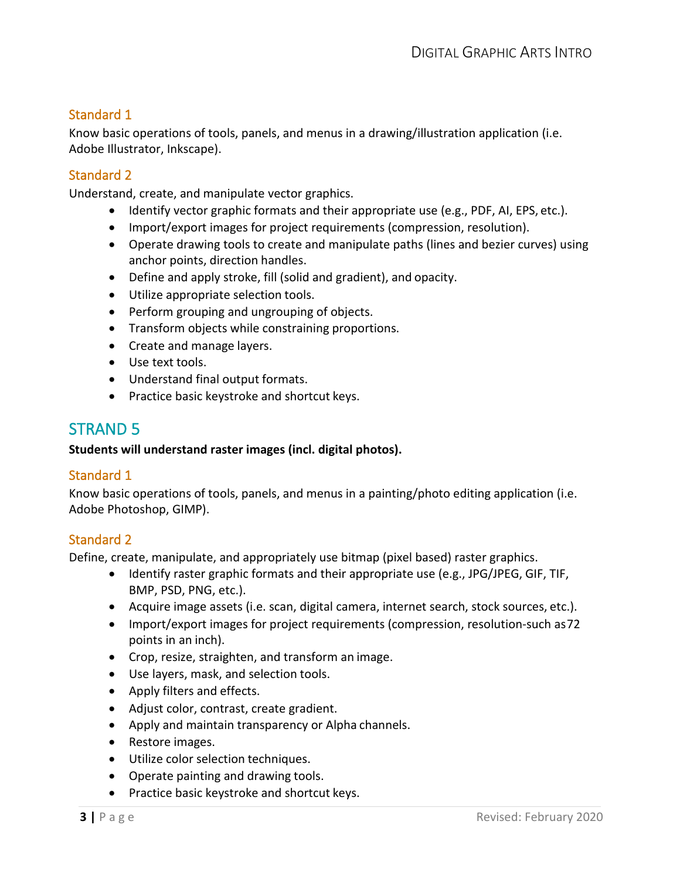## Standard 1

Know basic operations of tools, panels, and menus in a drawing/illustration application (i.e. Adobe Illustrator, Inkscape).

#### Standard 2

Understand, create, and manipulate vector graphics.

- Identify vector graphic formats and their appropriate use (e.g., PDF, AI, EPS, etc.).
- Import/export images for project requirements (compression, resolution).
- Operate drawing tools to create and manipulate paths (lines and bezier curves) using anchor points, direction handles.
- Define and apply stroke, fill (solid and gradient), and opacity.
- Utilize appropriate selection tools.
- Perform grouping and ungrouping of objects.
- Transform objects while constraining proportions.
- Create and manage layers.
- Use text tools.
- Understand final output formats.
- Practice basic keystroke and shortcut keys.

# STRAND 5

#### **Students will understand raster images (incl. digital photos).**

## Standard 1

Know basic operations of tools, panels, and menus in a painting/photo editing application (i.e. Adobe Photoshop, GIMP).

#### Standard 2

Define, create, manipulate, and appropriately use bitmap (pixel based) raster graphics.

- Identify raster graphic formats and their appropriate use (e.g., JPG/JPEG, GIF, TIF, BMP, PSD, PNG, etc.).
- Acquire image assets (i.e. scan, digital camera, internet search, stock sources, etc.).
- Import/export images for project requirements (compression, resolution-such as72 points in an inch).
- Crop, resize, straighten, and transform an image.
- Use layers, mask, and selection tools.
- Apply filters and effects.
- Adjust color, contrast, create gradient.
- Apply and maintain transparency or Alpha channels.
- Restore images.
- Utilize color selection techniques.
- Operate painting and drawing tools.
- Practice basic keystroke and shortcut keys.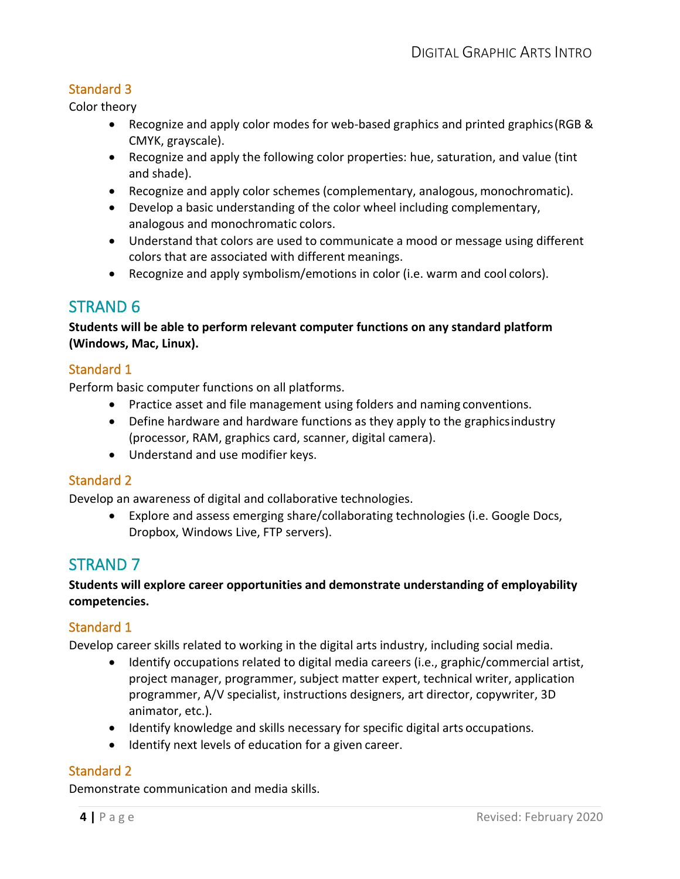## Standard 3

Color theory

- Recognize and apply color modes for web-based graphics and printed graphics(RGB & CMYK, grayscale).
- Recognize and apply the following color properties: hue, saturation, and value (tint and shade).
- Recognize and apply color schemes (complementary, analogous, monochromatic).
- Develop a basic understanding of the color wheel including complementary, analogous and monochromatic colors.
- Understand that colors are used to communicate a mood or message using different colors that are associated with different meanings.
- Recognize and apply symbolism/emotions in color (i.e. warm and cool colors).

# STRAND 6

#### **Students will be able to perform relevant computer functions on any standard platform (Windows, Mac, Linux).**

#### Standard 1

Perform basic computer functions on all platforms.

- Practice asset and file management using folders and naming conventions.
- Define hardware and hardware functions as they apply to the graphicsindustry (processor, RAM, graphics card, scanner, digital camera).
- Understand and use modifier keys.

## Standard 2

Develop an awareness of digital and collaborative technologies.

• Explore and assess emerging share/collaborating technologies (i.e. Google Docs, Dropbox, Windows Live, FTP servers).

# STRAND 7

#### **Students will explore career opportunities and demonstrate understanding of employability competencies.**

## Standard 1

Develop career skills related to working in the digital arts industry, including social media.

- Identify occupations related to digital media careers (i.e., graphic/commercial artist, project manager, programmer, subject matter expert, technical writer, application programmer, A/V specialist, instructions designers, art director, copywriter, 3D animator, etc.).
- Identify knowledge and skills necessary for specific digital arts occupations.
- Identify next levels of education for a given career.

## Standard 2

Demonstrate communication and media skills.